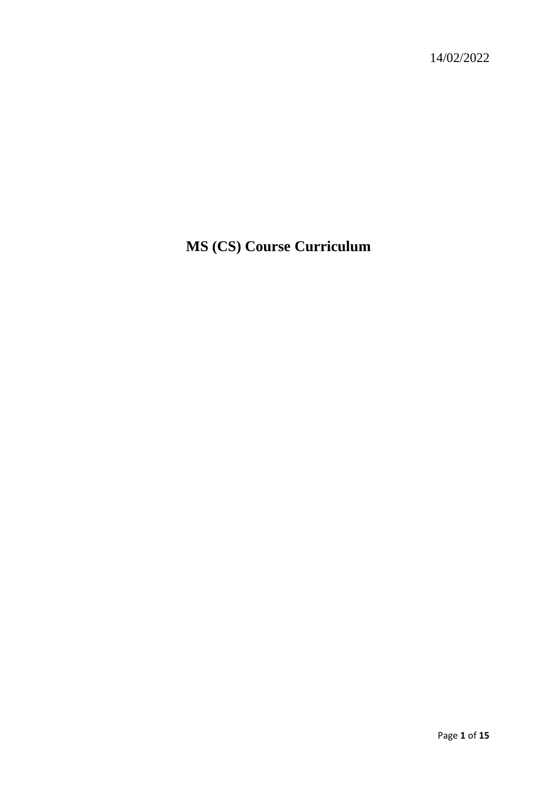14/02/2022

# **MS (CS) Course Curriculum**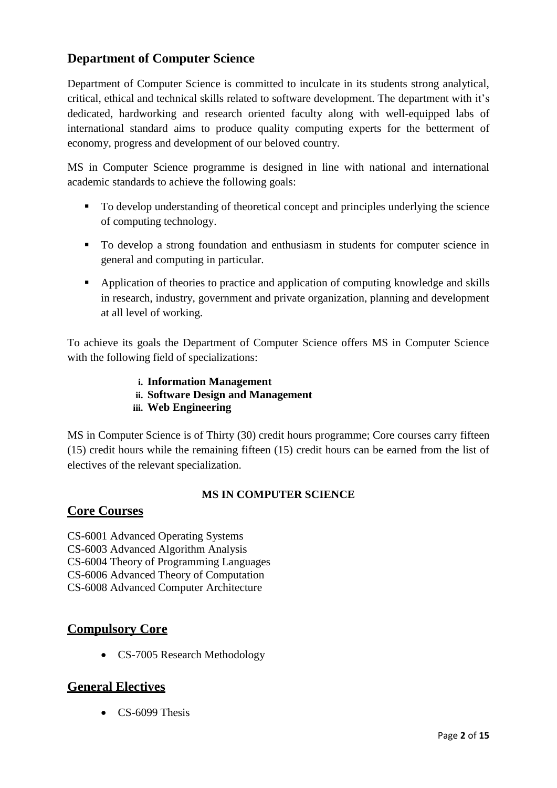# **Department of Computer Science**

Department of Computer Science is committed to inculcate in its students strong analytical, critical, ethical and technical skills related to software development. The department with it's dedicated, hardworking and research oriented faculty along with well-equipped labs of international standard aims to produce quality computing experts for the betterment of economy, progress and development of our beloved country.

MS in Computer Science programme is designed in line with national and international academic standards to achieve the following goals:

- To develop understanding of theoretical concept and principles underlying the science of computing technology.
- To develop a strong foundation and enthusiasm in students for computer science in general and computing in particular.
- Application of theories to practice and application of computing knowledge and skills in research, industry, government and private organization, planning and development at all level of working.

To achieve its goals the Department of Computer Science offers MS in Computer Science with the following field of specializations:

> **i. Information Management ii. Software Design and Management iii. Web Engineering**

MS in Computer Science is of Thirty (30) credit hours programme; Core courses carry fifteen (15) credit hours while the remaining fifteen (15) credit hours can be earned from the list of electives of the relevant specialization.

# **MS IN COMPUTER SCIENCE**

# **Core Courses**

CS-6001 Advanced Operating Systems CS-6003 Advanced Algorithm Analysis CS-6004 Theory of Programming Languages CS-6006 Advanced Theory of Computation CS-6008 Advanced Computer Architecture

# **Compulsory Core**

• CS-7005 Research Methodology

# **General Electives**

 $\bullet$  CS-6099 Thesis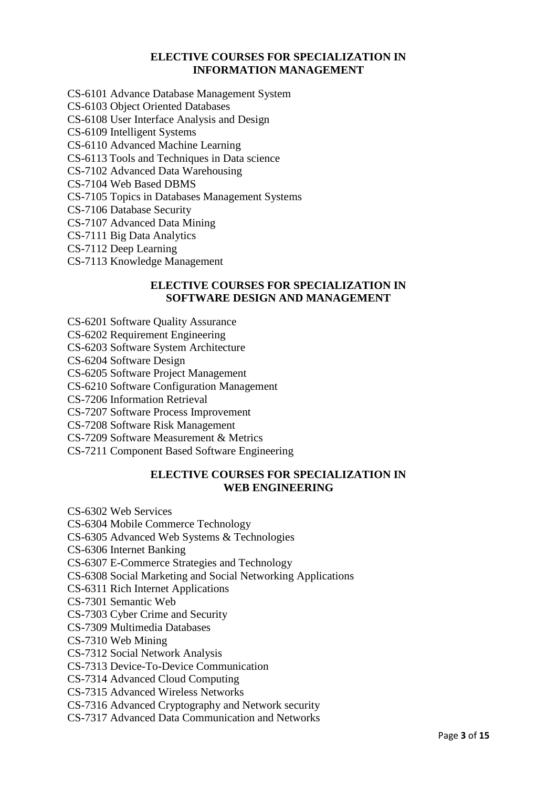## **ELECTIVE COURSES FOR SPECIALIZATION IN INFORMATION MANAGEMENT**

- CS-6101 Advance Database Management System
- CS-6103 Object Oriented Databases
- CS-6108 User Interface Analysis and Design
- CS-6109 Intelligent Systems
- CS-6110 Advanced Machine Learning
- CS-6113 Tools and Techniques in Data science
- CS-7102 Advanced Data Warehousing
- CS-7104 Web Based DBMS
- CS-7105 Topics in Databases Management Systems
- CS-7106 Database Security
- CS-7107 Advanced Data Mining
- CS-7111 Big Data Analytics
- CS-7112 Deep Learning
- CS-7113 Knowledge Management

## **ELECTIVE COURSES FOR SPECIALIZATION IN SOFTWARE DESIGN AND MANAGEMENT**

- CS-6201 Software Quality Assurance
- CS-6202 Requirement Engineering
- CS-6203 Software System Architecture
- CS-6204 Software Design
- CS-6205 Software Project Management
- CS-6210 Software Configuration Management
- CS-7206 Information Retrieval
- CS-7207 Software Process Improvement
- CS-7208 Software Risk Management
- CS-7209 Software Measurement & Metrics
- CS-7211 Component Based Software Engineering

#### **ELECTIVE COURSES FOR SPECIALIZATION IN WEB ENGINEERING**

CS-6302 Web Services

- CS-6304 Mobile Commerce Technology
- CS-6305 Advanced Web Systems & Technologies
- CS-6306 Internet Banking
- CS-6307 E-Commerce Strategies and Technology
- CS-6308 Social Marketing and Social Networking Applications
- CS-6311 Rich Internet Applications
- CS-7301 Semantic Web
- CS-7303 Cyber Crime and Security
- CS-7309 Multimedia Databases
- CS-7310 Web Mining
- CS-7312 Social Network Analysis
- CS-7313 Device-To-Device Communication
- CS-7314 Advanced Cloud Computing
- CS-7315 Advanced Wireless Networks
- CS-7316 Advanced Cryptography and Network security
- CS-7317 Advanced Data Communication and Networks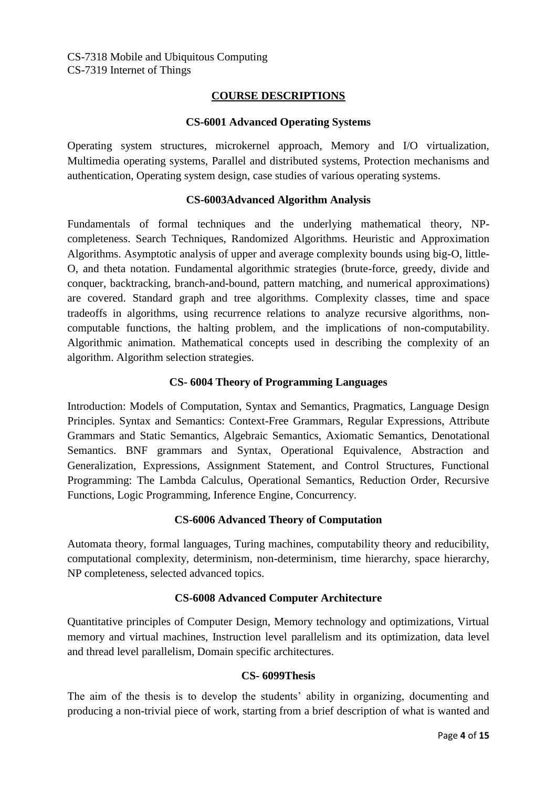## **COURSE DESCRIPTIONS**

#### **CS-6001 Advanced Operating Systems**

Operating system structures, microkernel approach, Memory and I/O virtualization, Multimedia operating systems, Parallel and distributed systems, Protection mechanisms and authentication, Operating system design, case studies of various operating systems.

#### **CS-6003Advanced Algorithm Analysis**

Fundamentals of formal techniques and the underlying mathematical theory, NPcompleteness. Search Techniques, Randomized Algorithms. Heuristic and Approximation Algorithms. Asymptotic analysis of upper and average complexity bounds using big-O, little-O, and theta notation. Fundamental algorithmic strategies (brute-force, greedy, divide and conquer, backtracking, branch-and-bound, pattern matching, and numerical approximations) are covered. Standard graph and tree algorithms. Complexity classes, time and space tradeoffs in algorithms, using recurrence relations to analyze recursive algorithms, noncomputable functions, the halting problem, and the implications of non-computability. Algorithmic animation. Mathematical concepts used in describing the complexity of an algorithm. Algorithm selection strategies.

## **CS- 6004 Theory of Programming Languages**

Introduction: Models of Computation, Syntax and Semantics, Pragmatics, Language Design Principles. Syntax and Semantics: Context-Free Grammars, Regular Expressions, Attribute Grammars and Static Semantics, Algebraic Semantics, Axiomatic Semantics, Denotational Semantics. BNF grammars and Syntax, Operational Equivalence, Abstraction and Generalization, Expressions, Assignment Statement, and Control Structures, Functional Programming: The Lambda Calculus, Operational Semantics, Reduction Order, Recursive Functions, Logic Programming, Inference Engine, Concurrency.

## **CS-6006 Advanced Theory of Computation**

Automata theory, formal languages, Turing machines, computability theory and reducibility, computational complexity, determinism, non-determinism, time hierarchy, space hierarchy, NP completeness, selected advanced topics.

## **CS-6008 Advanced Computer Architecture**

Quantitative principles of Computer Design, Memory technology and optimizations, Virtual memory and virtual machines, Instruction level parallelism and its optimization, data level and thread level parallelism, Domain specific architectures.

## **CS- 6099Thesis**

The aim of the thesis is to develop the students' ability in organizing, documenting and producing a non-trivial piece of work, starting from a brief description of what is wanted and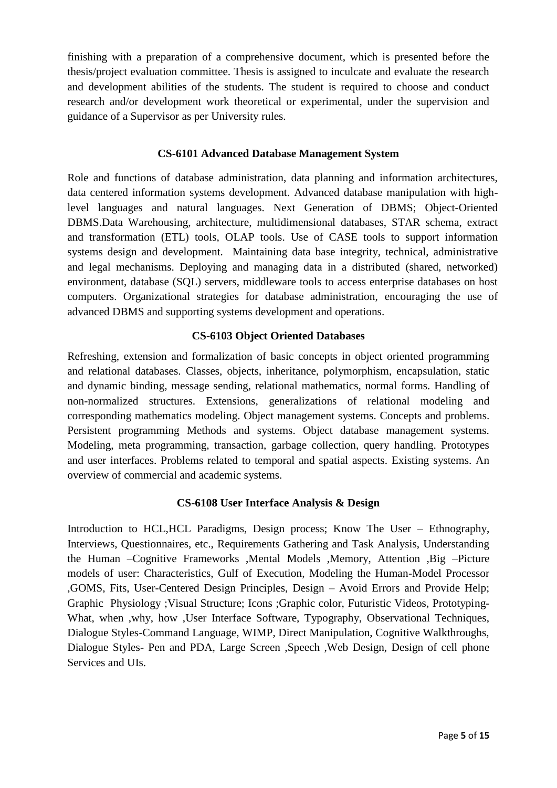finishing with a preparation of a comprehensive document, which is presented before the thesis/project evaluation committee. Thesis is assigned to inculcate and evaluate the research and development abilities of the students. The student is required to choose and conduct research and/or development work theoretical or experimental, under the supervision and guidance of a Supervisor as per University rules.

## **CS-6101 Advanced Database Management System**

Role and functions of database administration, data planning and information architectures, data centered information systems development. Advanced database manipulation with highlevel languages and natural languages. Next Generation of DBMS; Object-Oriented DBMS.Data Warehousing, architecture, multidimensional databases, STAR schema, extract and transformation (ETL) tools, OLAP tools. Use of CASE tools to support information systems design and development. Maintaining data base integrity, technical, administrative and legal mechanisms. Deploying and managing data in a distributed (shared, networked) environment, database (SQL) servers, middleware tools to access enterprise databases on host computers. Organizational strategies for database administration, encouraging the use of advanced DBMS and supporting systems development and operations.

## **CS-6103 Object Oriented Databases**

Refreshing, extension and formalization of basic concepts in object oriented programming and relational databases. Classes, objects, inheritance, polymorphism, encapsulation, static and dynamic binding, message sending, relational mathematics, normal forms. Handling of non-normalized structures. Extensions, generalizations of relational modeling and corresponding mathematics modeling. Object management systems. Concepts and problems. Persistent programming Methods and systems. Object database management systems. Modeling, meta programming, transaction, garbage collection, query handling. Prototypes and user interfaces. Problems related to temporal and spatial aspects. Existing systems. An overview of commercial and academic systems.

## **CS-6108 User Interface Analysis & Design**

Introduction to HCL,HCL Paradigms, Design process; Know The User – Ethnography, Interviews, Questionnaires, etc., Requirements Gathering and Task Analysis, Understanding the Human –Cognitive Frameworks ,Mental Models ,Memory, Attention ,Big –Picture models of user: Characteristics, Gulf of Execution, Modeling the Human-Model Processor ,GOMS, Fits, User-Centered Design Principles, Design – Avoid Errors and Provide Help; Graphic Physiology ;Visual Structure; Icons ;Graphic color, Futuristic Videos, Prototyping-What, when ,why, how ,User Interface Software, Typography, Observational Techniques, Dialogue Styles-Command Language, WIMP, Direct Manipulation, Cognitive Walkthroughs, Dialogue Styles- Pen and PDA, Large Screen ,Speech ,Web Design, Design of cell phone Services and UIs.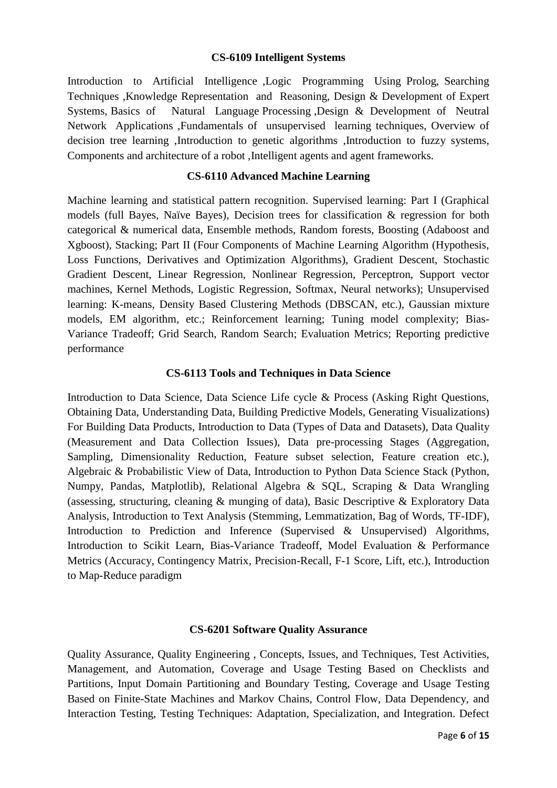#### **CS-6109 Intelligent Systems**

Introduction to Artificial Intelligence ,Logic Programming Using Prolog, Searching Techniques ,Knowledge Representation and Reasoning, Design & Development of Expert Systems, Basics of Natural Language Processing ,Design & Development of Neutral Network Applications ,Fundamentals of unsupervised learning techniques, Overview of decision tree learning ,Introduction to genetic algorithms ,Introduction to fuzzy systems, Components and architecture of a robot ,Intelligent agents and agent frameworks.

#### **CS-6110 Advanced Machine Learning**

Machine learning and statistical pattern recognition. Supervised learning: Part I (Graphical models (full Bayes, Naïve Bayes), Decision trees for classification & regression for both categorical & numerical data, Ensemble methods, Random forests, Boosting (Adaboost and Xgboost), Stacking; Part II (Four Components of Machine Learning Algorithm (Hypothesis, Loss Functions, Derivatives and Optimization Algorithms), Gradient Descent, Stochastic Gradient Descent, Linear Regression, Nonlinear Regression, Perceptron, Support vector machines, Kernel Methods, Logistic Regression, Softmax, Neural networks); Unsupervised learning: K-means, Density Based Clustering Methods (DBSCAN, etc.), Gaussian mixture models, EM algorithm, etc.; Reinforcement learning; Tuning model complexity; Bias-Variance Tradeoff; Grid Search, Random Search; Evaluation Metrics; Reporting predictive performance

#### **CS-6113 Tools and Techniques in Data Science**

Introduction to Data Science, Data Science Life cycle & Process (Asking Right Questions, Obtaining Data, Understanding Data, Building Predictive Models, Generating Visualizations) For Building Data Products, Introduction to Data (Types of Data and Datasets), Data Quality (Measurement and Data Collection Issues), Data pre-processing Stages (Aggregation, Sampling, Dimensionality Reduction, Feature subset selection, Feature creation etc.), Algebraic & Probabilistic View of Data, Introduction to Python Data Science Stack (Python, Numpy, Pandas, Matplotlib), Relational Algebra & SQL, Scraping & Data Wrangling (assessing, structuring, cleaning & munging of data), Basic Descriptive & Exploratory Data Analysis, Introduction to Text Analysis (Stemming, Lemmatization, Bag of Words, TF-IDF), Introduction to Prediction and Inference (Supervised & Unsupervised) Algorithms, Introduction to Scikit Learn, Bias-Variance Tradeoff, Model Evaluation & Performance Metrics (Accuracy, Contingency Matrix, Precision-Recall, F-1 Score, Lift, etc.), Introduction to Map-Reduce paradigm

#### **CS-6201 Software Quality Assurance**

Quality Assurance, Quality Engineering , Concepts, Issues, and Techniques, Test Activities, Management, and Automation, Coverage and Usage Testing Based on Checklists and Partitions, Input Domain Partitioning and Boundary Testing, Coverage and Usage Testing Based on Finite-State Machines and Markov Chains, Control Flow, Data Dependency, and Interaction Testing, Testing Techniques: Adaptation, Specialization, and Integration. Defect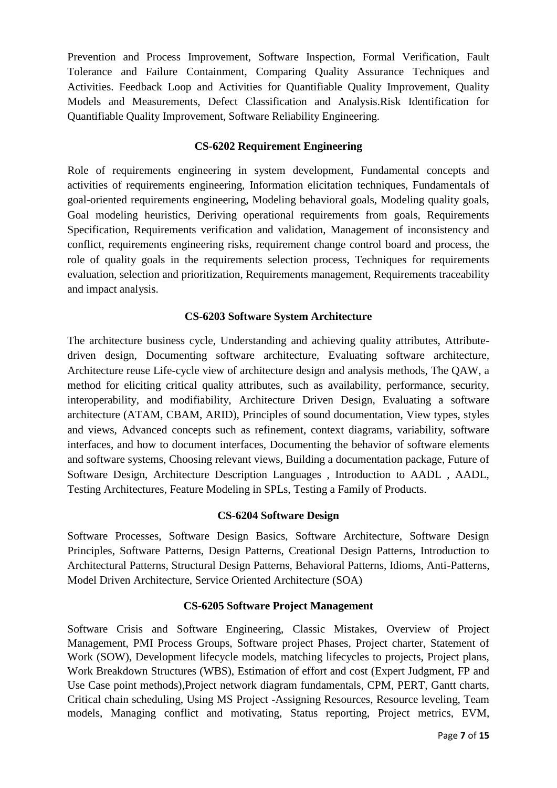Prevention and Process Improvement, Software Inspection, Formal Verification, Fault Tolerance and Failure Containment, Comparing Quality Assurance Techniques and Activities. Feedback Loop and Activities for Quantifiable Quality Improvement, Quality Models and Measurements, Defect Classification and Analysis.Risk Identification for Quantifiable Quality Improvement, Software Reliability Engineering.

## **CS-6202 Requirement Engineering**

Role of requirements engineering in system development, Fundamental concepts and activities of requirements engineering, Information elicitation techniques, Fundamentals of goal-oriented requirements engineering, Modeling behavioral goals, Modeling quality goals, Goal modeling heuristics, Deriving operational requirements from goals, Requirements Specification, Requirements verification and validation, Management of inconsistency and conflict, requirements engineering risks, requirement change control board and process, the role of quality goals in the requirements selection process, Techniques for requirements evaluation, selection and prioritization, Requirements management, Requirements traceability and impact analysis.

## **CS-6203 Software System Architecture**

The architecture business cycle, Understanding and achieving quality attributes, Attributedriven design, Documenting software architecture, Evaluating software architecture, Architecture reuse Life-cycle view of architecture design and analysis methods, The QAW, a method for eliciting critical quality attributes, such as availability, performance, security, interoperability, and modifiability, Architecture Driven Design, Evaluating a software architecture (ATAM, CBAM, ARID), Principles of sound documentation, View types, styles and views, Advanced concepts such as refinement, context diagrams, variability, software interfaces, and how to document interfaces, Documenting the behavior of software elements and software systems, Choosing relevant views, Building a documentation package, Future of Software Design, Architecture Description Languages , Introduction to AADL , AADL, Testing Architectures, Feature Modeling in SPLs, Testing a Family of Products.

## **CS-6204 Software Design**

Software Processes, Software Design Basics, Software Architecture, Software Design Principles, Software Patterns, Design Patterns, Creational Design Patterns, Introduction to Architectural Patterns, Structural Design Patterns, Behavioral Patterns, Idioms, Anti-Patterns, Model Driven Architecture, Service Oriented Architecture (SOA)

## **CS-6205 Software Project Management**

Software Crisis and Software Engineering, Classic Mistakes, Overview of Project Management, PMI Process Groups, Software project Phases, Project charter, Statement of Work (SOW), Development lifecycle models, matching lifecycles to projects, Project plans, Work Breakdown Structures (WBS), Estimation of effort and cost (Expert Judgment, FP and Use Case point methods),Project network diagram fundamentals, CPM, PERT, Gantt charts, Critical chain scheduling, Using MS Project -Assigning Resources, Resource leveling, Team models, Managing conflict and motivating, Status reporting, Project metrics, EVM,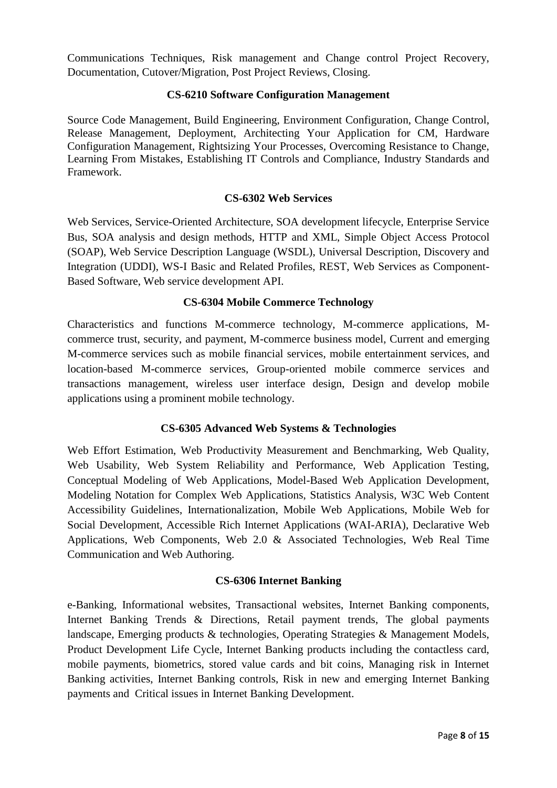Communications Techniques, Risk management and Change control Project Recovery, Documentation, Cutover/Migration, Post Project Reviews, Closing.

## **CS-6210 Software Configuration Management**

Source Code Management, Build Engineering, Environment Configuration, Change Control, Release Management, Deployment, Architecting Your Application for CM, Hardware Configuration Management, Rightsizing Your Processes, Overcoming Resistance to Change, Learning From Mistakes, Establishing IT Controls and Compliance, Industry Standards and Framework.

## **CS-6302 Web Services**

Web Services, Service-Oriented Architecture, SOA development lifecycle, Enterprise Service Bus, SOA analysis and design methods, HTTP and XML, Simple Object Access Protocol (SOAP), Web Service Description Language (WSDL), Universal Description, Discovery and Integration (UDDI), WS-I Basic and Related Profiles, REST, Web Services as Component-Based Software, Web service development API.

## **CS-6304 Mobile Commerce Technology**

Characteristics and functions M-commerce technology, M-commerce applications, Mcommerce trust, security, and payment, M-commerce business model, Current and emerging M-commerce services such as mobile financial services, mobile entertainment services, and location-based M-commerce services, Group-oriented mobile commerce services and transactions management, wireless user interface design, Design and develop mobile applications using a prominent mobile technology.

## **CS-6305 Advanced Web Systems & Technologies**

Web Effort Estimation, Web Productivity Measurement and Benchmarking, Web Quality, Web Usability, Web System Reliability and Performance, Web Application Testing, Conceptual Modeling of Web Applications, Model-Based Web Application Development, Modeling Notation for Complex Web Applications, Statistics Analysis, W3C Web Content Accessibility Guidelines, Internationalization, Mobile Web Applications, Mobile Web for Social Development, Accessible Rich Internet Applications (WAI-ARIA), Declarative Web Applications, Web Components, Web 2.0 & Associated Technologies, Web Real Time Communication and Web Authoring.

## **CS-6306 Internet Banking**

e-Banking, Informational websites, Transactional websites, Internet Banking components, Internet Banking Trends & Directions, Retail payment trends, The global payments landscape, Emerging products & technologies, Operating Strategies & Management Models, Product Development Life Cycle, Internet Banking products including the contactless card, mobile payments, biometrics, stored value cards and bit coins, Managing risk in Internet Banking activities, Internet Banking controls, Risk in new and emerging Internet Banking payments and Critical issues in Internet Banking Development.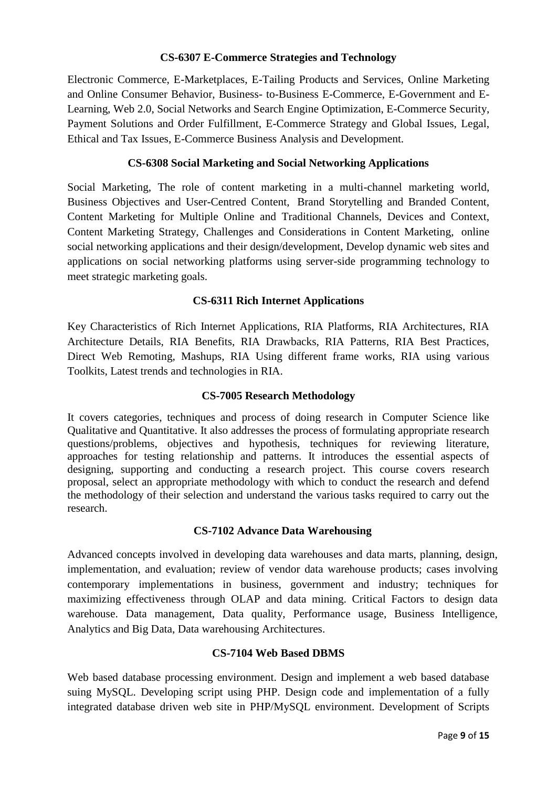## **CS-6307 E-Commerce Strategies and Technology**

Electronic Commerce, E-Marketplaces, E-Tailing Products and Services, Online Marketing and Online Consumer Behavior, Business- to-Business E-Commerce, E-Government and E-Learning, Web 2.0, Social Networks and Search Engine Optimization, E-Commerce Security, Payment Solutions and Order Fulfillment, E-Commerce Strategy and Global Issues, Legal, Ethical and Tax Issues, E-Commerce Business Analysis and Development.

## **CS-6308 Social Marketing and Social Networking Applications**

Social Marketing, The role of content marketing in a multi-channel marketing world, Business Objectives and User-Centred Content, Brand Storytelling and Branded Content, Content Marketing for Multiple Online and Traditional Channels, Devices and Context, Content Marketing Strategy, Challenges and Considerations in Content Marketing, online social networking applications and their design/development, Develop dynamic web sites and applications on social networking platforms using server-side programming technology to meet strategic marketing goals.

## **CS-6311 Rich Internet Applications**

Key Characteristics of Rich Internet Applications, RIA Platforms, RIA Architectures, RIA Architecture Details, RIA Benefits, RIA Drawbacks, RIA Patterns, RIA Best Practices, Direct Web Remoting, Mashups, RIA Using different frame works, RIA using various Toolkits, Latest trends and technologies in RIA.

## **CS-7005 Research Methodology**

It covers categories, techniques and process of doing research in Computer Science like Qualitative and Quantitative. It also addresses the process of formulating appropriate research questions/problems, objectives and hypothesis, techniques for reviewing literature, approaches for testing relationship and patterns. It introduces the essential aspects of designing, supporting and conducting a research project. This course covers research proposal, select an appropriate methodology with which to conduct the research and defend the methodology of their selection and understand the various tasks required to carry out the research.

## **CS-7102 Advance Data Warehousing**

Advanced concepts involved in developing data warehouses and data marts, planning, design, implementation, and evaluation; review of vendor data warehouse products; cases involving contemporary implementations in business, government and industry; techniques for maximizing effectiveness through OLAP and data mining. Critical Factors to design data warehouse. Data management, Data quality, Performance usage, Business Intelligence, Analytics and Big Data, Data warehousing Architectures.

## **CS-7104 Web Based DBMS**

Web based database processing environment. Design and implement a web based database suing MySQL. Developing script using PHP. Design code and implementation of a fully integrated database driven web site in PHP/MySQL environment. Development of Scripts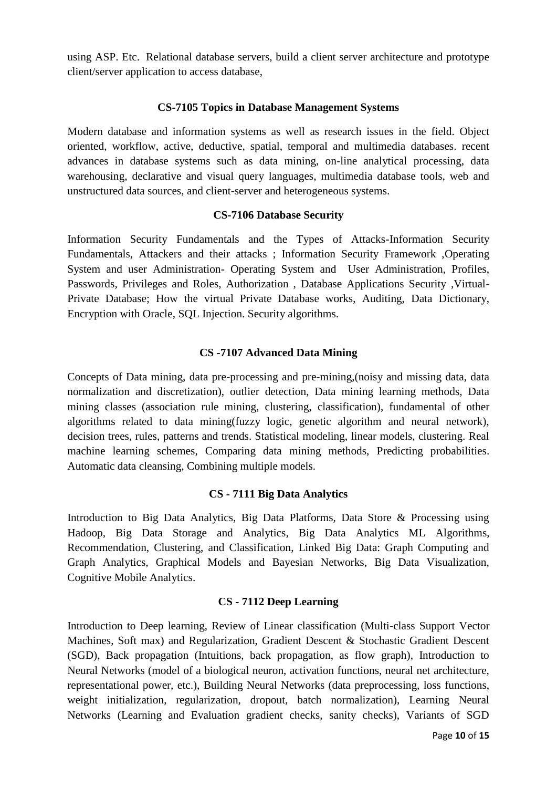using ASP. Etc. Relational database servers, build a client server architecture and prototype client/server application to access database,

#### **CS-7105 Topics in Database Management Systems**

Modern database and information systems as well as research issues in the field. Object oriented, workflow, active, deductive, spatial, temporal and multimedia databases. recent advances in database systems such as data mining, on-line analytical processing, data warehousing, declarative and visual query languages, multimedia database tools, web and unstructured data sources, and client-server and heterogeneous systems.

#### **CS-7106 Database Security**

Information Security Fundamentals and the Types of Attacks-Information Security Fundamentals, Attackers and their attacks ; Information Security Framework ,Operating System and user Administration- Operating System and User Administration, Profiles, Passwords, Privileges and Roles, Authorization , Database Applications Security ,Virtual-Private Database; How the virtual Private Database works, Auditing, Data Dictionary, Encryption with Oracle, SQL Injection. Security algorithms.

## **CS -7107 Advanced Data Mining**

Concepts of Data mining, data pre-processing and pre-mining,(noisy and missing data, data normalization and discretization), outlier detection, Data mining learning methods, Data mining classes (association rule mining, clustering, classification), fundamental of other algorithms related to data mining(fuzzy logic, genetic algorithm and neural network), decision trees, rules, patterns and trends. Statistical modeling, linear models, clustering. Real machine learning schemes, Comparing data mining methods, Predicting probabilities. Automatic data cleansing, Combining multiple models.

## **CS - 7111 Big Data Analytics**

Introduction to Big Data Analytics, Big Data Platforms, Data Store & Processing using Hadoop, Big Data Storage and Analytics, Big Data Analytics ML Algorithms, Recommendation, Clustering, and Classification, Linked Big Data: Graph Computing and Graph Analytics, Graphical Models and Bayesian Networks, Big Data Visualization, Cognitive Mobile Analytics.

## **CS - 7112 Deep Learning**

Introduction to Deep learning, Review of Linear classification (Multi-class Support Vector Machines, Soft max) and Regularization, Gradient Descent & Stochastic Gradient Descent (SGD), Back propagation (Intuitions, back propagation, as flow graph), Introduction to Neural Networks (model of a biological neuron, activation functions, neural net architecture, representational power, etc.), Building Neural Networks (data preprocessing, loss functions, weight initialization, regularization, dropout, batch normalization), Learning Neural Networks (Learning and Evaluation gradient checks, sanity checks), Variants of SGD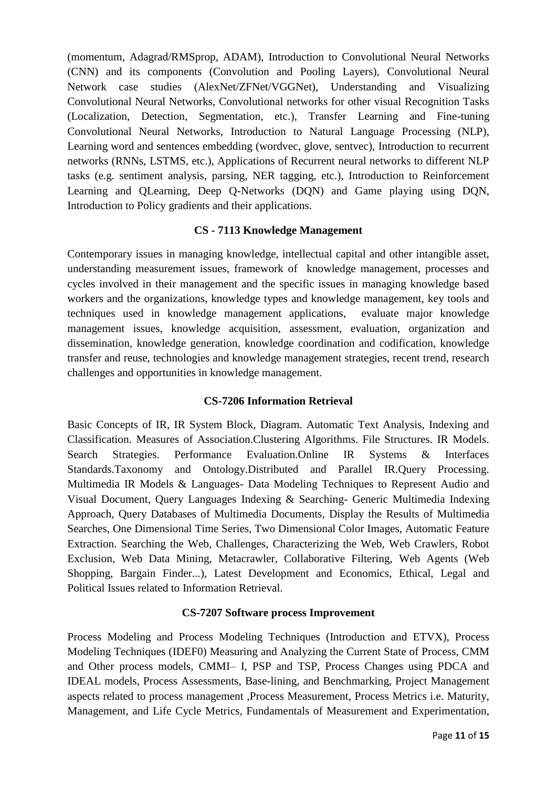(momentum, Adagrad/RMSprop, ADAM), Introduction to Convolutional Neural Networks (CNN) and its components (Convolution and Pooling Layers), Convolutional Neural Network case studies (AlexNet/ZFNet/VGGNet), Understanding and Visualizing Convolutional Neural Networks, Convolutional networks for other visual Recognition Tasks (Localization, Detection, Segmentation, etc.), Transfer Learning and Fine-tuning Convolutional Neural Networks, Introduction to Natural Language Processing (NLP), Learning word and sentences embedding (wordvec, glove, sentvec), Introduction to recurrent networks (RNNs, LSTMS, etc.), Applications of Recurrent neural networks to different NLP tasks (e.g. sentiment analysis, parsing, NER tagging, etc.), Introduction to Reinforcement Learning and QLearning, Deep Q-Networks (DQN) and Game playing using DQN, Introduction to Policy gradients and their applications.

## **CS - 7113 Knowledge Management**

Contemporary issues in managing knowledge, intellectual capital and other intangible asset, understanding measurement issues, framework of knowledge management, processes and cycles involved in their management and the specific issues in managing knowledge based workers and the organizations, knowledge types and knowledge management, key tools and techniques used in knowledge management applications, evaluate major knowledge management issues, knowledge acquisition, assessment, evaluation, organization and dissemination, knowledge generation, knowledge coordination and codification, knowledge transfer and reuse, technologies and knowledge management strategies, recent trend, research challenges and opportunities in knowledge management.

## **CS-7206 Information Retrieval**

Basic Concepts of IR, IR System Block, Diagram. Automatic Text Analysis, Indexing and Classification. Measures of Association.Clustering Algorithms. File Structures. IR Models. Search Strategies. Performance Evaluation.Online IR Systems & Interfaces Standards.Taxonomy and Ontology.Distributed and Parallel IR.Query Processing. Multimedia IR Models & Languages- Data Modeling Techniques to Represent Audio and Visual Document, Query Languages Indexing & Searching- Generic Multimedia Indexing Approach, Query Databases of Multimedia Documents, Display the Results of Multimedia Searches, One Dimensional Time Series, Two Dimensional Color Images, Automatic Feature Extraction. Searching the Web, Challenges, Characterizing the Web, Web Crawlers, Robot Exclusion, Web Data Mining, Metacrawler, Collaborative Filtering, Web Agents (Web Shopping, Bargain Finder...), Latest Development and Economics, Ethical, Legal and Political Issues related to Information Retrieval.

## **CS-7207 Software process Improvement**

Process Modeling and Process Modeling Techniques (Introduction and ETVX), Process Modeling Techniques (IDEF0) Measuring and Analyzing the Current State of Process, CMM and Other process models, CMMI– I, PSP and TSP, Process Changes using PDCA and IDEAL models, Process Assessments, Base-lining, and Benchmarking, Project Management aspects related to process management ,Process Measurement, Process Metrics i.e. Maturity, Management, and Life Cycle Metrics, Fundamentals of Measurement and Experimentation,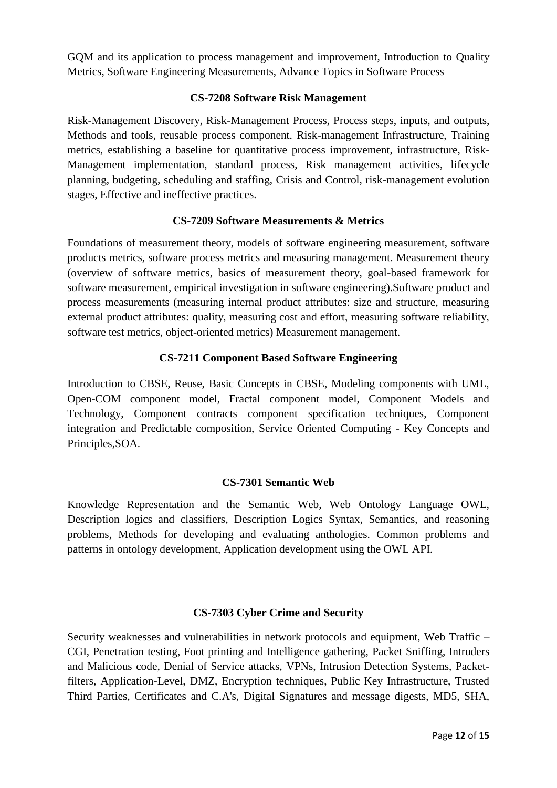GQM and its application to process management and improvement, Introduction to Quality Metrics, Software Engineering Measurements, Advance Topics in Software Process

## **CS-7208 Software Risk Management**

Risk-Management Discovery, Risk-Management Process, Process steps, inputs, and outputs, Methods and tools, reusable process component. Risk-management Infrastructure, Training metrics, establishing a baseline for quantitative process improvement, infrastructure, Risk-Management implementation, standard process, Risk management activities, lifecycle planning, budgeting, scheduling and staffing, Crisis and Control, risk-management evolution stages, Effective and ineffective practices.

## **CS-7209 Software Measurements & Metrics**

Foundations of measurement theory, models of software engineering measurement, software products metrics, software process metrics and measuring management. Measurement theory (overview of software metrics, basics of measurement theory, goal-based framework for software measurement, empirical investigation in software engineering).Software product and process measurements (measuring internal product attributes: size and structure, measuring external product attributes: quality, measuring cost and effort, measuring software reliability, software test metrics, object-oriented metrics) Measurement management.

## **CS-7211 Component Based Software Engineering**

Introduction to CBSE, Reuse, Basic Concepts in CBSE, Modeling components with UML, Open-COM component model, Fractal component model, Component Models and Technology, Component contracts component specification techniques, Component integration and Predictable composition, Service Oriented Computing - Key Concepts and Principles,SOA.

## **CS-7301 Semantic Web**

Knowledge Representation and the Semantic Web, Web Ontology Language OWL, Description logics and classifiers, Description Logics Syntax, Semantics, and reasoning problems, Methods for developing and evaluating anthologies. Common problems and patterns in ontology development, Application development using the OWL API.

## **CS-7303 Cyber Crime and Security**

Security weaknesses and vulnerabilities in network protocols and equipment, Web Traffic – CGI, Penetration testing, Foot printing and Intelligence gathering, Packet Sniffing, Intruders and Malicious code, Denial of Service attacks, VPNs, Intrusion Detection Systems, Packetfilters, Application-Level, DMZ, Encryption techniques, Public Key Infrastructure, Trusted Third Parties, Certificates and C.A's, Digital Signatures and message digests, MD5, SHA,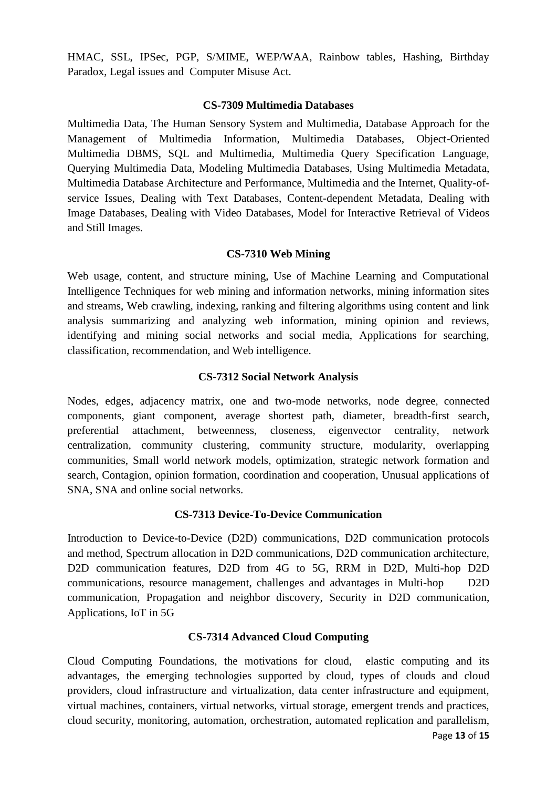HMAC, SSL, IPSec, PGP, S/MIME, WEP/WAA, Rainbow tables, Hashing, Birthday Paradox, Legal issues and Computer Misuse Act.

## **CS-7309 Multimedia Databases**

Multimedia Data, The Human Sensory System and Multimedia, Database Approach for the Management of Multimedia Information, Multimedia Databases, Object-Oriented Multimedia DBMS, SQL and Multimedia, Multimedia Query Specification Language, Querying Multimedia Data, Modeling Multimedia Databases, Using Multimedia Metadata, Multimedia Database Architecture and Performance, Multimedia and the Internet, Quality-ofservice Issues, Dealing with Text Databases, Content-dependent Metadata, Dealing with Image Databases, Dealing with Video Databases, Model for Interactive Retrieval of Videos and Still Images.

## **CS-7310 Web Mining**

Web usage, content, and structure mining, Use of Machine Learning and Computational Intelligence Techniques for web mining and information networks, mining information sites and streams, Web crawling, indexing, ranking and filtering algorithms using content and link analysis summarizing and analyzing web information, mining opinion and reviews, identifying and mining social networks and social media, Applications for searching, classification, recommendation, and Web intelligence.

## **CS-7312 Social Network Analysis**

Nodes, edges, adjacency matrix, one and two-mode networks, node degree, connected components, giant component, average shortest path, diameter, breadth-first search, preferential attachment, betweenness, closeness, eigenvector centrality, network centralization, community clustering, community structure, modularity, overlapping communities, Small world network models, optimization, strategic network formation and search, Contagion, opinion formation, coordination and cooperation, Unusual applications of SNA, SNA and online social networks.

## **CS-7313 Device-To-Device Communication**

Introduction to Device-to-Device (D2D) communications, D2D communication protocols and method, Spectrum allocation in D2D communications, D2D communication architecture, D2D communication features, D2D from 4G to 5G, RRM in D2D, Multi-hop D2D communications, resource management, challenges and advantages in Multi-hop D2D communication, Propagation and neighbor discovery, Security in D2D communication, Applications, IoT in 5G

## **CS-7314 Advanced Cloud Computing**

Cloud Computing Foundations, the motivations for cloud, elastic computing and its advantages, the emerging technologies supported by cloud, types of clouds and cloud providers, cloud infrastructure and virtualization, data center infrastructure and equipment, virtual machines, containers, virtual networks, virtual storage, emergent trends and practices, cloud security, monitoring, automation, orchestration, automated replication and parallelism,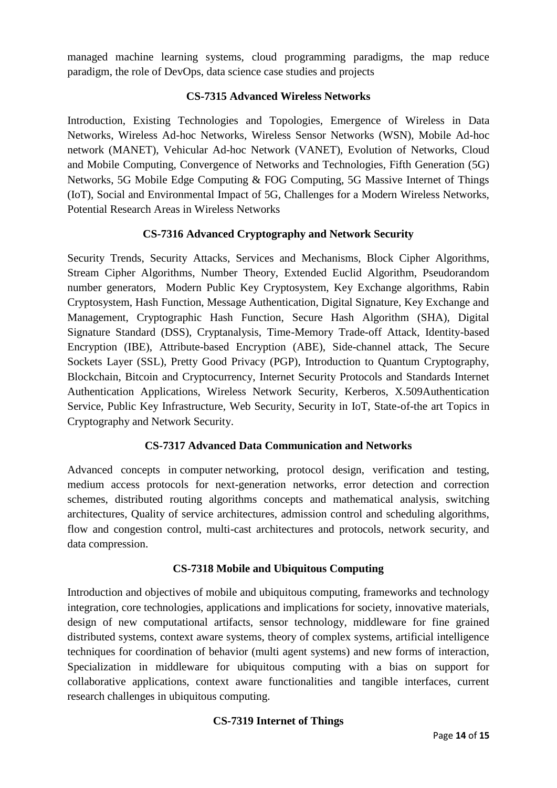managed machine learning systems, cloud programming paradigms, the map reduce paradigm, the role of DevOps, data science case studies and projects

## **CS-7315 Advanced Wireless Networks**

Introduction, Existing Technologies and Topologies, Emergence of Wireless in Data Networks, Wireless Ad-hoc Networks, Wireless Sensor Networks (WSN), Mobile Ad-hoc network (MANET), Vehicular Ad-hoc Network (VANET), Evolution of Networks, Cloud and Mobile Computing, Convergence of Networks and Technologies, Fifth Generation (5G) Networks, 5G Mobile Edge Computing & FOG Computing, 5G Massive Internet of Things (IoT), Social and Environmental Impact of 5G, Challenges for a Modern Wireless Networks, Potential Research Areas in Wireless Networks

## **CS-7316 Advanced Cryptography and Network Security**

Security Trends, Security Attacks, Services and Mechanisms, Block Cipher Algorithms, Stream Cipher Algorithms, Number Theory, Extended Euclid Algorithm, Pseudorandom number generators, Modern Public Key Cryptosystem, Key Exchange algorithms, Rabin Cryptosystem, Hash Function, Message Authentication, Digital Signature, Key Exchange and Management, Cryptographic Hash Function, Secure Hash Algorithm (SHA), Digital Signature Standard (DSS), Cryptanalysis, Time-Memory Trade-off Attack, Identity-based Encryption (IBE), Attribute-based Encryption (ABE), Side-channel attack, The Secure Sockets Layer (SSL), Pretty Good Privacy (PGP), Introduction to Quantum Cryptography, Blockchain, Bitcoin and Cryptocurrency, Internet Security Protocols and Standards Internet Authentication Applications, Wireless Network Security, Kerberos, X.509Authentication Service, Public Key Infrastructure, Web Security, Security in IoT, State-of-the art Topics in Cryptography and Network Security.

## **CS-7317 Advanced Data Communication and Networks**

Advanced concepts in computer networking, protocol design, verification and testing, medium access protocols for next-generation networks, error detection and correction schemes, distributed routing algorithms concepts and mathematical analysis, switching architectures, Quality of service architectures, admission control and scheduling algorithms, flow and congestion control, multi-cast architectures and protocols, network security, and data compression.

## **CS-7318 Mobile and Ubiquitous Computing**

Introduction and objectives of mobile and ubiquitous computing, frameworks and technology integration, core technologies, applications and implications for society, innovative materials, design of new computational artifacts, sensor technology, middleware for fine grained distributed systems, context aware systems, theory of complex systems, artificial intelligence techniques for coordination of behavior (multi agent systems) and new forms of interaction, Specialization in middleware for ubiquitous computing with a bias on support for collaborative applications, context aware functionalities and tangible interfaces, current research challenges in ubiquitous computing.

## **CS-7319 Internet of Things**